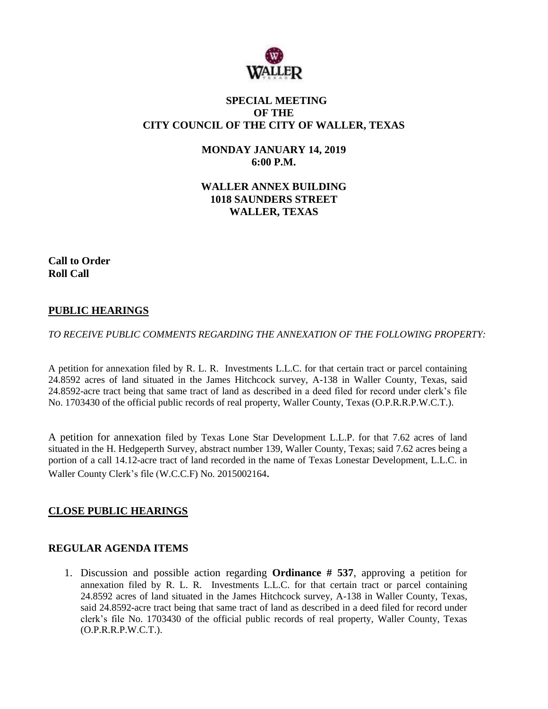

# **SPECIAL MEETING OF THE CITY COUNCIL OF THE CITY OF WALLER, TEXAS**

**MONDAY JANUARY 14, 2019 6:00 P.M.**

**WALLER ANNEX BUILDING 1018 SAUNDERS STREET WALLER, TEXAS**

**Call to Order Roll Call**

# **PUBLIC HEARINGS**

*TO RECEIVE PUBLIC COMMENTS REGARDING THE ANNEXATION OF THE FOLLOWING PROPERTY:*

A petition for annexation filed by R. L. R. Investments L.L.C. for that certain tract or parcel containing 24.8592 acres of land situated in the James Hitchcock survey, A-138 in Waller County, Texas, said 24.8592-acre tract being that same tract of land as described in a deed filed for record under clerk's file No. 1703430 of the official public records of real property, Waller County, Texas (O.P.R.R.P.W.C.T.).

A petition for annexation filed by Texas Lone Star Development L.L.P. for that 7.62 acres of land situated in the H. Hedgeperth Survey, abstract number 139, Waller County, Texas; said 7.62 acres being a portion of a call 14.12-acre tract of land recorded in the name of Texas Lonestar Development, L.L.C. in Waller County Clerk's file (W.C.C.F) No. 2015002164.

### **CLOSE PUBLIC HEARINGS**

### **REGULAR AGENDA ITEMS**

1. Discussion and possible action regarding **Ordinance # 537**, approving a petition for annexation filed by R. L. R. Investments L.L.C. for that certain tract or parcel containing 24.8592 acres of land situated in the James Hitchcock survey, A-138 in Waller County, Texas, said 24.8592-acre tract being that same tract of land as described in a deed filed for record under clerk's file No. 1703430 of the official public records of real property, Waller County, Texas (O.P.R.R.P.W.C.T.).